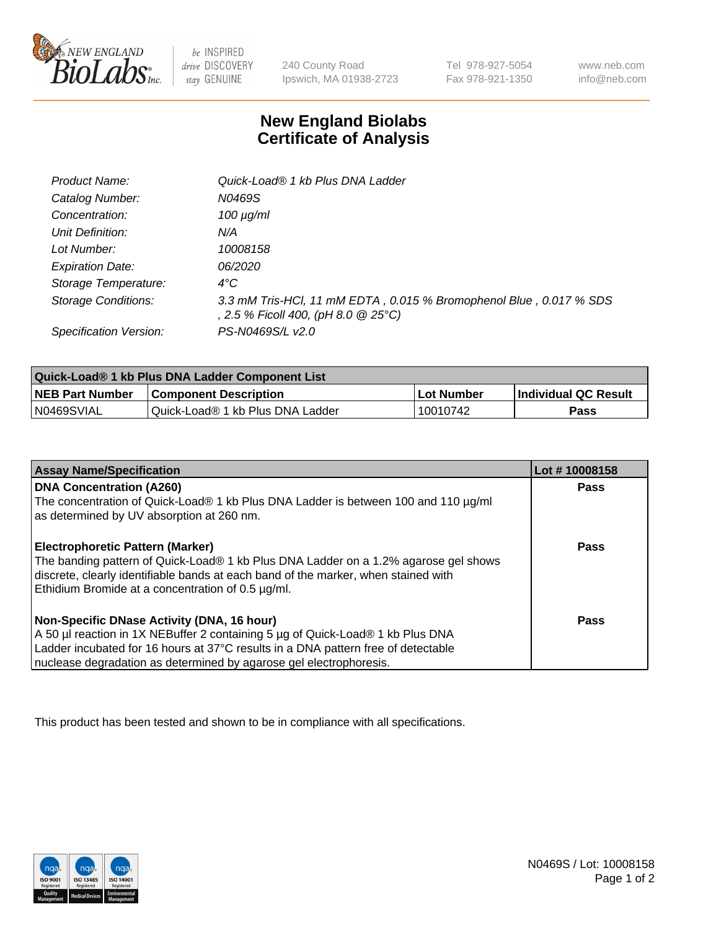

 $be$  INSPIRED drive DISCOVERY stay GENUINE

240 County Road Ipswich, MA 01938-2723 Tel 978-927-5054 Fax 978-921-1350 www.neb.com info@neb.com

## **New England Biolabs Certificate of Analysis**

| Product Name:              | Quick-Load® 1 kb Plus DNA Ladder                                                                          |
|----------------------------|-----------------------------------------------------------------------------------------------------------|
| Catalog Number:            | N0469S                                                                                                    |
| Concentration:             | $100 \mu g/ml$                                                                                            |
| Unit Definition:           | N/A                                                                                                       |
| Lot Number:                | 10008158                                                                                                  |
| <b>Expiration Date:</b>    | <i>06/2020</i>                                                                                            |
| Storage Temperature:       | $4^{\circ}$ C                                                                                             |
| <b>Storage Conditions:</b> | 3.3 mM Tris-HCl, 11 mM EDTA, 0.015 % Bromophenol Blue, 0.017 % SDS<br>, 2.5 % Ficoll 400, (pH 8.0 @ 25°C) |
| Specification Version:     | PS-N0469S/L v2.0                                                                                          |

| Quick-Load® 1 kb Plus DNA Ladder Component List |                                  |                   |                             |  |
|-------------------------------------------------|----------------------------------|-------------------|-----------------------------|--|
| <b>NEB Part Number</b>                          | <b>Component Description</b>     | <b>Lot Number</b> | <b>Individual QC Result</b> |  |
| N0469SVIAL                                      | Quick-Load® 1 kb Plus DNA Ladder | 10010742          | Pass                        |  |

| <b>Assay Name/Specification</b>                                                                                                         | Lot #10008158 |
|-----------------------------------------------------------------------------------------------------------------------------------------|---------------|
| <b>DNA Concentration (A260)</b>                                                                                                         | <b>Pass</b>   |
| The concentration of Quick-Load® 1 kb Plus DNA Ladder is between 100 and 110 µg/ml<br>as determined by UV absorption at 260 nm.         |               |
| <b>Electrophoretic Pattern (Marker)</b>                                                                                                 | <b>Pass</b>   |
| The banding pattern of Quick-Load® 1 kb Plus DNA Ladder on a 1.2% agarose gel shows                                                     |               |
| discrete, clearly identifiable bands at each band of the marker, when stained with<br>Ethidium Bromide at a concentration of 0.5 µg/ml. |               |
| Non-Specific DNase Activity (DNA, 16 hour)                                                                                              | Pass          |
| A 50 µl reaction in 1X NEBuffer 2 containing 5 µg of Quick-Load® 1 kb Plus DNA                                                          |               |
| Ladder incubated for 16 hours at 37°C results in a DNA pattern free of detectable                                                       |               |
| nuclease degradation as determined by agarose gel electrophoresis.                                                                      |               |

This product has been tested and shown to be in compliance with all specifications.